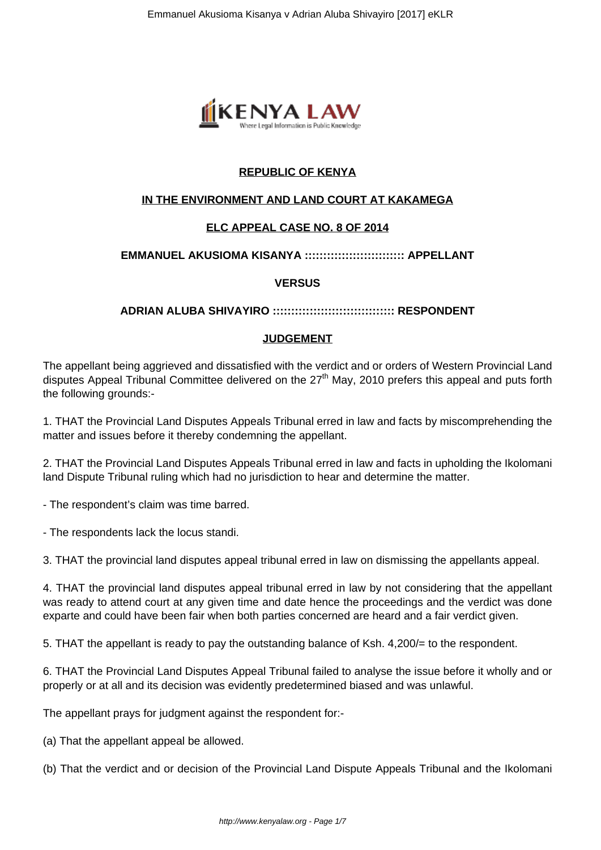

# **REPUBLIC OF KENYA**

# **IN THE ENVIRONMENT AND LAND COURT AT KAKAMEGA**

# **ELC APPEAL CASE NO. 8 OF 2014**

### **EMMANUEL AKUSIOMA KISANYA ::::::::::::::::::::::::::: APPELLANT**

### **VERSUS**

### **ADRIAN ALUBA SHIVAYIRO ::::::::::::::::::::::::::::::::: RESPONDENT**

#### **JUDGEMENT**

The appellant being aggrieved and dissatisfied with the verdict and or orders of Western Provincial Land disputes Appeal Tribunal Committee delivered on the  $27<sup>th</sup>$  May, 2010 prefers this appeal and puts forth the following grounds:-

1. THAT the Provincial Land Disputes Appeals Tribunal erred in law and facts by miscomprehending the matter and issues before it thereby condemning the appellant.

2. THAT the Provincial Land Disputes Appeals Tribunal erred in law and facts in upholding the Ikolomani land Dispute Tribunal ruling which had no jurisdiction to hear and determine the matter.

- The respondent's claim was time barred.

- The respondents lack the locus standi.

3. THAT the provincial land disputes appeal tribunal erred in law on dismissing the appellants appeal.

4. THAT the provincial land disputes appeal tribunal erred in law by not considering that the appellant was ready to attend court at any given time and date hence the proceedings and the verdict was done exparte and could have been fair when both parties concerned are heard and a fair verdict given.

5. THAT the appellant is ready to pay the outstanding balance of Ksh. 4,200/= to the respondent.

6. THAT the Provincial Land Disputes Appeal Tribunal failed to analyse the issue before it wholly and or properly or at all and its decision was evidently predetermined biased and was unlawful.

The appellant prays for judgment against the respondent for:-

(a) That the appellant appeal be allowed.

(b) That the verdict and or decision of the Provincial Land Dispute Appeals Tribunal and the Ikolomani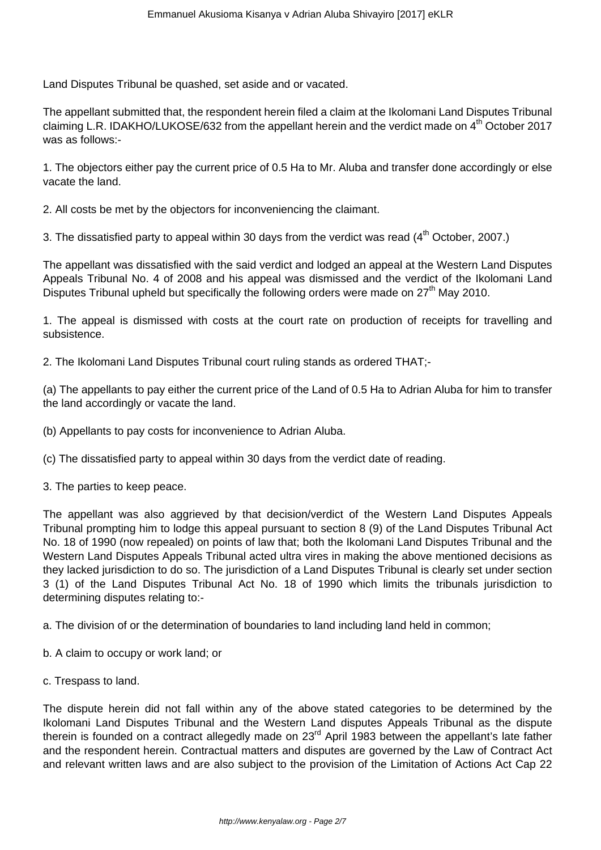Land Disputes Tribunal be quashed, set aside and or vacated.

The appellant submitted that, the respondent herein filed a claim at the Ikolomani Land Disputes Tribunal claiming L.R. IDAKHO/LUKOSE/632 from the appellant herein and the verdict made on  $4<sup>th</sup>$  October 2017 was as follows:-

1. The objectors either pay the current price of 0.5 Ha to Mr. Aluba and transfer done accordingly or else vacate the land.

2. All costs be met by the objectors for inconveniencing the claimant.

3. The dissatisfied party to appeal within 30 days from the verdict was read  $(4<sup>th</sup> October, 2007.)$ 

The appellant was dissatisfied with the said verdict and lodged an appeal at the Western Land Disputes Appeals Tribunal No. 4 of 2008 and his appeal was dismissed and the verdict of the Ikolomani Land Disputes Tribunal upheld but specifically the following orders were made on  $27<sup>th</sup>$  May 2010.

1. The appeal is dismissed with costs at the court rate on production of receipts for travelling and subsistence.

2. The Ikolomani Land Disputes Tribunal court ruling stands as ordered THAT;-

(a) The appellants to pay either the current price of the Land of 0.5 Ha to Adrian Aluba for him to transfer the land accordingly or vacate the land.

(b) Appellants to pay costs for inconvenience to Adrian Aluba.

(c) The dissatisfied party to appeal within 30 days from the verdict date of reading.

3. The parties to keep peace.

The appellant was also aggrieved by that decision/verdict of the Western Land Disputes Appeals Tribunal prompting him to lodge this appeal pursuant to section 8 (9) of the Land Disputes Tribunal Act No. 18 of 1990 (now repealed) on points of law that; both the Ikolomani Land Disputes Tribunal and the Western Land Disputes Appeals Tribunal acted ultra vires in making the above mentioned decisions as they lacked jurisdiction to do so. The jurisdiction of a Land Disputes Tribunal is clearly set under section 3 (1) of the Land Disputes Tribunal Act No. 18 of 1990 which limits the tribunals jurisdiction to determining disputes relating to:-

a. The division of or the determination of boundaries to land including land held in common;

- b. A claim to occupy or work land; or
- c. Trespass to land.

The dispute herein did not fall within any of the above stated categories to be determined by the Ikolomani Land Disputes Tribunal and the Western Land disputes Appeals Tribunal as the dispute therein is founded on a contract allegedly made on 23<sup>rd</sup> April 1983 between the appellant's late father and the respondent herein. Contractual matters and disputes are governed by the Law of Contract Act and relevant written laws and are also subject to the provision of the Limitation of Actions Act Cap 22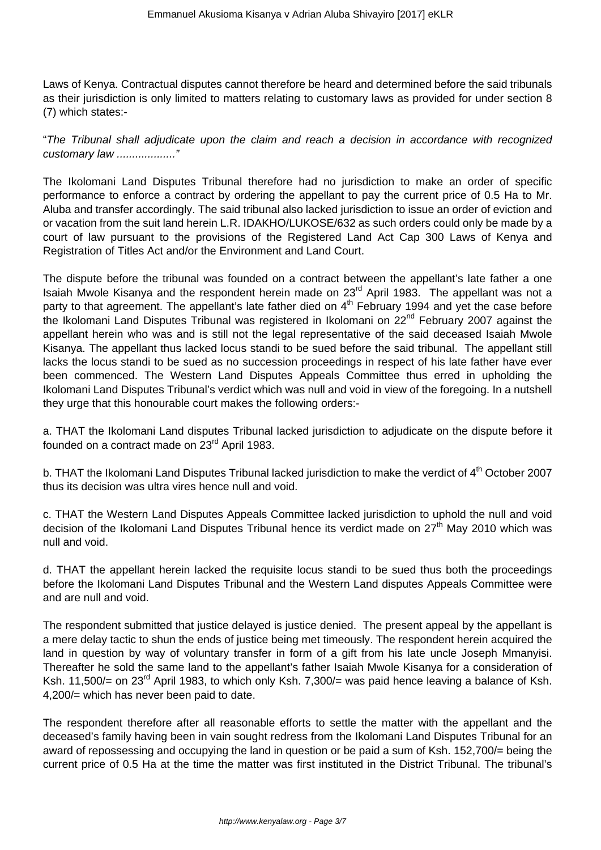Laws of Kenya. Contractual disputes cannot therefore be heard and determined before the said tribunals as their jurisdiction is only limited to matters relating to customary laws as provided for under section 8 (7) which states:-

"The Tribunal shall adjudicate upon the claim and reach a decision in accordance with recognized customary law ..................."

The Ikolomani Land Disputes Tribunal therefore had no jurisdiction to make an order of specific performance to enforce a contract by ordering the appellant to pay the current price of 0.5 Ha to Mr. Aluba and transfer accordingly. The said tribunal also lacked jurisdiction to issue an order of eviction and or vacation from the suit land herein L.R. IDAKHO/LUKOSE/632 as such orders could only be made by a court of law pursuant to the provisions of the Registered Land Act Cap 300 Laws of Kenya and Registration of Titles Act and/or the Environment and Land Court.

The dispute before the tribunal was founded on a contract between the appellant's late father a one Isaiah Mwole Kisanya and the respondent herein made on 23<sup>rd</sup> April 1983. The appellant was not a party to that agreement. The appellant's late father died on 4<sup>th</sup> February 1994 and yet the case before the Ikolomani Land Disputes Tribunal was registered in Ikolomani on 22<sup>nd</sup> February 2007 against the appellant herein who was and is still not the legal representative of the said deceased Isaiah Mwole Kisanya. The appellant thus lacked locus standi to be sued before the said tribunal. The appellant still lacks the locus standi to be sued as no succession proceedings in respect of his late father have ever been commenced. The Western Land Disputes Appeals Committee thus erred in upholding the Ikolomani Land Disputes Tribunal's verdict which was null and void in view of the foregoing. In a nutshell they urge that this honourable court makes the following orders:-

a. THAT the Ikolomani Land disputes Tribunal lacked jurisdiction to adjudicate on the dispute before it founded on a contract made on 23rd April 1983.

b. THAT the Ikolomani Land Disputes Tribunal lacked jurisdiction to make the verdict of 4<sup>th</sup> October 2007 thus its decision was ultra vires hence null and void.

c. THAT the Western Land Disputes Appeals Committee lacked jurisdiction to uphold the null and void decision of the Ikolomani Land Disputes Tribunal hence its verdict made on  $27<sup>th</sup>$  May 2010 which was null and void.

d. THAT the appellant herein lacked the requisite locus standi to be sued thus both the proceedings before the Ikolomani Land Disputes Tribunal and the Western Land disputes Appeals Committee were and are null and void.

The respondent submitted that justice delayed is justice denied. The present appeal by the appellant is a mere delay tactic to shun the ends of justice being met timeously. The respondent herein acquired the land in question by way of voluntary transfer in form of a gift from his late uncle Joseph Mmanyisi. Thereafter he sold the same land to the appellant's father Isaiah Mwole Kisanya for a consideration of Ksh. 11,500/= on 23<sup>rd</sup> April 1983, to which only Ksh. 7,300/= was paid hence leaving a balance of Ksh. 4,200/= which has never been paid to date.

The respondent therefore after all reasonable efforts to settle the matter with the appellant and the deceased's family having been in vain sought redress from the Ikolomani Land Disputes Tribunal for an award of repossessing and occupying the land in question or be paid a sum of Ksh. 152,700/= being the current price of 0.5 Ha at the time the matter was first instituted in the District Tribunal. The tribunal's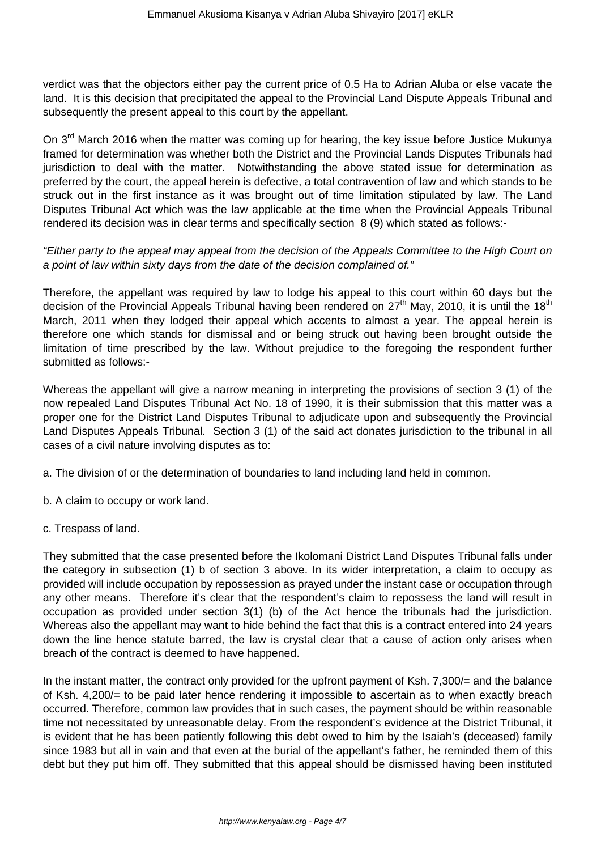verdict was that the objectors either pay the current price of 0.5 Ha to Adrian Aluba or else vacate the land. It is this decision that precipitated the appeal to the Provincial Land Dispute Appeals Tribunal and subsequently the present appeal to this court by the appellant.

On 3<sup>rd</sup> March 2016 when the matter was coming up for hearing, the key issue before Justice Mukunya framed for determination was whether both the District and the Provincial Lands Disputes Tribunals had jurisdiction to deal with the matter. Notwithstanding the above stated issue for determination as preferred by the court, the appeal herein is defective, a total contravention of law and which stands to be struck out in the first instance as it was brought out of time limitation stipulated by law. The Land Disputes Tribunal Act which was the law applicable at the time when the Provincial Appeals Tribunal rendered its decision was in clear terms and specifically section 8 (9) which stated as follows:-

"Either party to the appeal may appeal from the decision of the Appeals Committee to the High Court on a point of law within sixty days from the date of the decision complained of."

Therefore, the appellant was required by law to lodge his appeal to this court within 60 days but the decision of the Provincial Appeals Tribunal having been rendered on  $27<sup>th</sup>$  May, 2010, it is until the 18<sup>th</sup> March, 2011 when they lodged their appeal which accents to almost a year. The appeal herein is therefore one which stands for dismissal and or being struck out having been brought outside the limitation of time prescribed by the law. Without prejudice to the foregoing the respondent further submitted as follows:-

Whereas the appellant will give a narrow meaning in interpreting the provisions of section 3 (1) of the now repealed Land Disputes Tribunal Act No. 18 of 1990, it is their submission that this matter was a proper one for the District Land Disputes Tribunal to adjudicate upon and subsequently the Provincial Land Disputes Appeals Tribunal. Section 3 (1) of the said act donates jurisdiction to the tribunal in all cases of a civil nature involving disputes as to:

- a. The division of or the determination of boundaries to land including land held in common.
- b. A claim to occupy or work land.
- c. Trespass of land.

They submitted that the case presented before the Ikolomani District Land Disputes Tribunal falls under the category in subsection (1) b of section 3 above. In its wider interpretation, a claim to occupy as provided will include occupation by repossession as prayed under the instant case or occupation through any other means. Therefore it's clear that the respondent's claim to repossess the land will result in occupation as provided under section 3(1) (b) of the Act hence the tribunals had the jurisdiction. Whereas also the appellant may want to hide behind the fact that this is a contract entered into 24 years down the line hence statute barred, the law is crystal clear that a cause of action only arises when breach of the contract is deemed to have happened.

In the instant matter, the contract only provided for the upfront payment of Ksh. 7,300/= and the balance of Ksh. 4,200/= to be paid later hence rendering it impossible to ascertain as to when exactly breach occurred. Therefore, common law provides that in such cases, the payment should be within reasonable time not necessitated by unreasonable delay. From the respondent's evidence at the District Tribunal, it is evident that he has been patiently following this debt owed to him by the Isaiah's (deceased) family since 1983 but all in vain and that even at the burial of the appellant's father, he reminded them of this debt but they put him off. They submitted that this appeal should be dismissed having been instituted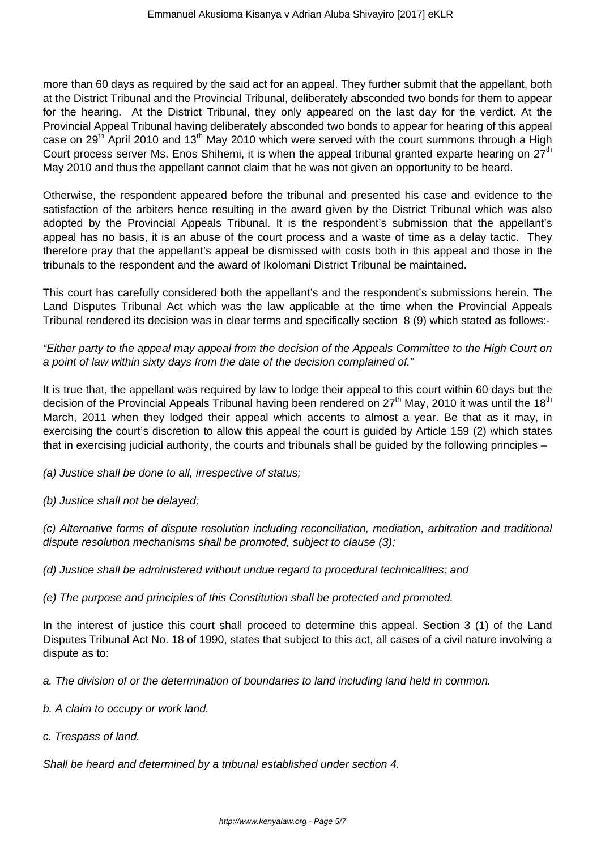more than 60 days as required by the said act for an appeal. They further submit that the appellant, both at the District Tribunal and the Provincial Tribunal, deliberately absconded two bonds for them to appear for the hearing. At the District Tribunal, they only appeared on the last day for the verdict. At the Provincial Appeal Tribunal having deliberately absconded two bonds to appear for hearing of this appeal case on 29<sup>th</sup> April 2010 and 13<sup>th</sup> May 2010 which were served with the court summons through a High Court process server Ms. Enos Shihemi, it is when the appeal tribunal granted exparte hearing on  $27<sup>th</sup>$ May 2010 and thus the appellant cannot claim that he was not given an opportunity to be heard.

Otherwise, the respondent appeared before the tribunal and presented his case and evidence to the satisfaction of the arbiters hence resulting in the award given by the District Tribunal which was also adopted by the Provincial Appeals Tribunal. It is the respondent's submission that the appellant's appeal has no basis, it is an abuse of the court process and a waste of time as a delay tactic. They therefore pray that the appellant's appeal be dismissed with costs both in this appeal and those in the tribunals to the respondent and the award of Ikolomani District Tribunal be maintained.

This court has carefully considered both the appellant's and the respondent's submissions herein. The Land Disputes Tribunal Act which was the law applicable at the time when the Provincial Appeals Tribunal rendered its decision was in clear terms and specifically section 8 (9) which stated as follows:-

"Either party to the appeal may appeal from the decision of the Appeals Committee to the High Court on a point of law within sixty days from the date of the decision complained of."

It is true that, the appellant was required by law to lodge their appeal to this court within 60 days but the decision of the Provincial Appeals Tribunal having been rendered on  $27<sup>th</sup>$  May, 2010 it was until the 18<sup>th</sup> March, 2011 when they lodged their appeal which accents to almost a year. Be that as it may, in exercising the court's discretion to allow this appeal the court is guided by Article 159 (2) which states that in exercising judicial authority, the courts and tribunals shall be guided by the following principles –

(a) Justice shall be done to all, irrespective of status;

(b) Justice shall not be delayed;

(c) Alternative forms of dispute resolution including reconciliation, mediation, arbitration and traditional dispute resolution mechanisms shall be promoted, subject to clause (3);

(d) Justice shall be administered without undue regard to procedural technicalities; and

(e) The purpose and principles of this Constitution shall be protected and promoted.

In the interest of justice this court shall proceed to determine this appeal. Section 3 (1) of the Land Disputes Tribunal Act No. 18 of 1990, states that subject to this act, all cases of a civil nature involving a dispute as to:

a. The division of or the determination of boundaries to land including land held in common.

- b. A claim to occupy or work land.
- c. Trespass of land.

Shall be heard and determined by a tribunal established under section 4.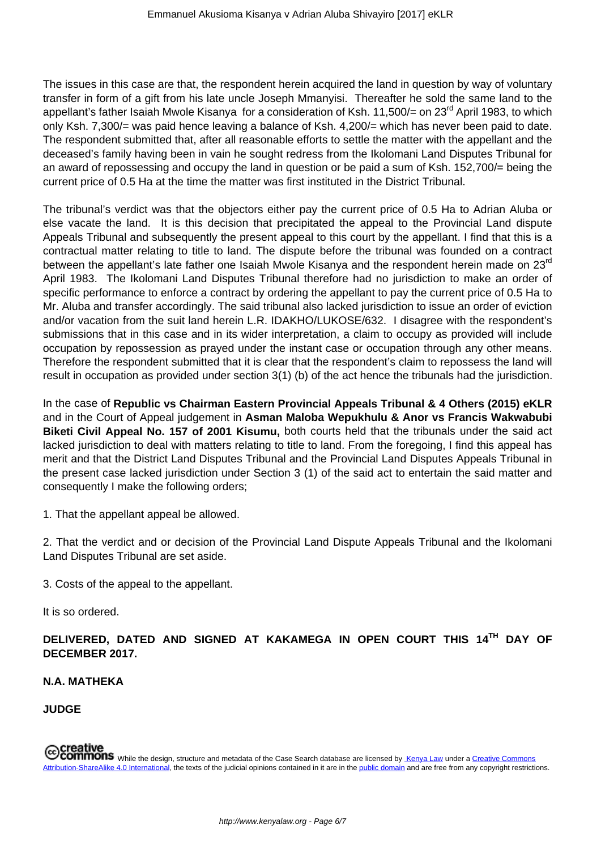The issues in this case are that, the respondent herein acquired the land in question by way of voluntary transfer in form of a gift from his late uncle Joseph Mmanyisi. Thereafter he sold the same land to the appellant's father Isaiah Mwole Kisanya for a consideration of Ksh. 11,500/= on 23<sup>rd</sup> April 1983, to which only Ksh. 7,300/= was paid hence leaving a balance of Ksh. 4,200/= which has never been paid to date. The respondent submitted that, after all reasonable efforts to settle the matter with the appellant and the deceased's family having been in vain he sought redress from the Ikolomani Land Disputes Tribunal for an award of repossessing and occupy the land in question or be paid a sum of Ksh. 152,700/= being the current price of 0.5 Ha at the time the matter was first instituted in the District Tribunal.

The tribunal's verdict was that the objectors either pay the current price of 0.5 Ha to Adrian Aluba or else vacate the land. It is this decision that precipitated the appeal to the Provincial Land dispute Appeals Tribunal and subsequently the present appeal to this court by the appellant. I find that this is a contractual matter relating to title to land. The dispute before the tribunal was founded on a contract between the appellant's late father one Isaiah Mwole Kisanya and the respondent herein made on 23<sup>rd</sup> April 1983. The Ikolomani Land Disputes Tribunal therefore had no jurisdiction to make an order of specific performance to enforce a contract by ordering the appellant to pay the current price of 0.5 Ha to Mr. Aluba and transfer accordingly. The said tribunal also lacked jurisdiction to issue an order of eviction and/or vacation from the suit land herein L.R. IDAKHO/LUKOSE/632. I disagree with the respondent's submissions that in this case and in its wider interpretation, a claim to occupy as provided will include occupation by repossession as prayed under the instant case or occupation through any other means. Therefore the respondent submitted that it is clear that the respondent's claim to repossess the land will result in occupation as provided under section 3(1) (b) of the act hence the tribunals had the jurisdiction.

In the case of **Republic vs Chairman Eastern Provincial Appeals Tribunal & 4 Others (2015) eKLR** and in the Court of Appeal judgement in **Asman Maloba Wepukhulu & Anor vs Francis Wakwabubi Biketi Civil Appeal No. 157 of 2001 Kisumu,** both courts held that the tribunals under the said act lacked jurisdiction to deal with matters relating to title to land. From the foregoing, I find this appeal has merit and that the District Land Disputes Tribunal and the Provincial Land Disputes Appeals Tribunal in the present case lacked jurisdiction under Section 3 (1) of the said act to entertain the said matter and consequently I make the following orders;

1. That the appellant appeal be allowed.

2. That the verdict and or decision of the Provincial Land Dispute Appeals Tribunal and the Ikolomani Land Disputes Tribunal are set aside.

3. Costs of the appeal to the appellant.

It is so ordered.

**DELIVERED, DATED AND SIGNED AT KAKAMEGA IN OPEN COURT THIS 14TH DAY OF DECEMBER 2017.**

### **N.A. MATHEKA**

**JUDGE**

Creative<br>COMMONS While the design, structure and metadata of the Case Search database are licensed by Kenya Law under a Creative Commons<br>COMMONS While the design, structure and metadata of the Case Search database are lice Attribution-ShareAlike 4.0 International, the texts of the judicial opinions contained in it are in the public domain and are free from any copyright restrictions.